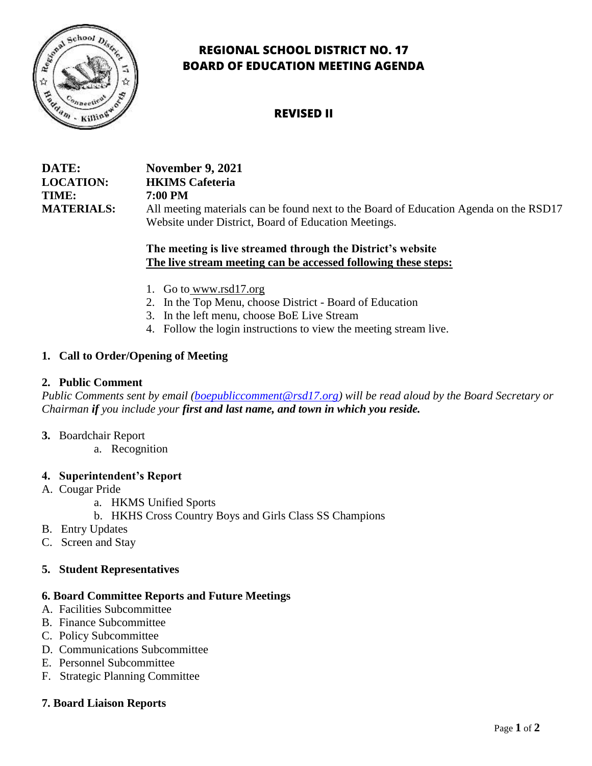

# **REGIONAL SCHOOL DISTRICT NO. 17 BOARD OF EDUCATION MEETING AGENDA**

## **REVISED II**

| DATE:             | <b>November 9, 2021</b>                                                               |
|-------------------|---------------------------------------------------------------------------------------|
| <b>LOCATION:</b>  | <b>HKIMS</b> Cafeteria                                                                |
| TIME:             | 7:00 PM                                                                               |
| <b>MATERIALS:</b> | All meeting materials can be found next to the Board of Education Agenda on the RSD17 |
|                   | Website under District, Board of Education Meetings.                                  |

### **The meeting is live streamed through the District's website The live stream meeting can be accessed following these steps:**

- 1. Go to [www.rsd17.org](http://www.rsd17.org/)
- 2. In the Top Menu, choose District Board of Education
- 3. In the left menu, choose BoE Live Stream
- 4. Follow the login instructions to view the meeting stream live.

## **1. Call to Order/Opening of Meeting**

#### **2. Public Comment**

*Public Comments sent by email [\(boepubliccomment@rsd17.org\)](mailto:boepubliccomment@rsd17.org) will be read aloud by the Board Secretary or Chairman if you include your first and last name, and town in which you reside.* 

#### **3.** Boardchair Report

a. Recognition

#### **4. Superintendent's Report**

- A. Cougar Pride
	- a. HKMS Unified Sports
	- b. HKHS Cross Country Boys and Girls Class SS Champions
- B. Entry Updates
- C. Screen and Stay

## **5. Student Representatives**

#### **6. Board Committee Reports and Future Meetings**

- A. Facilities Subcommittee
- B. Finance Subcommittee
- C. Policy Subcommittee
- D. Communications Subcommittee
- E. Personnel Subcommittee
- F. Strategic Planning Committee

#### **7. Board Liaison Reports**